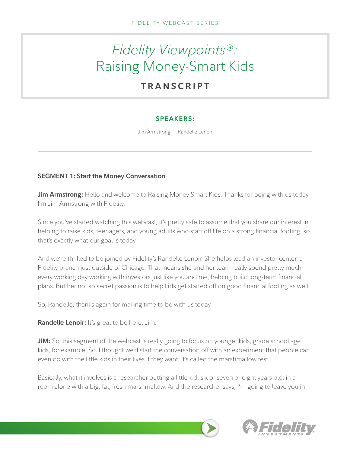# *Fidelity Viewpoints*®*:* Raising Money-Smart Kids

# **TRANSCRIPT**

# **SPEAKERS:**

Jim Armstrong Randelle Lenoir

# **SEGMENT 1: Start the Money Conversation**

**Jim Armstrong:** Hello and welcome to Raising Money-Smart Kids. Thanks for being with us today. I'm Jim Armstrong with Fidelity.

Since you've started watching this webcast, it's pretty safe to assume that you share our interest in helping to raise kids, teenagers, and young adults who start off life on a strong financial footing, so that's exactly what our goal is today.

And we're thrilled to be joined by Fidelity's Randelle Lenoir. She helps lead an investor center, a Fidelity branch just outside of Chicago. That means she and her team really spend pretty much every working day working with investors just like you and me, helping build long-term financial plans. But her not so secret passion is to help kids get started off on good financial footing as well.

So, Randelle, thanks again for making time to be with us today.

**Randelle Lenoir:** It's great to be here, Jim.

**JIM:** So, this segment of the webcast is really going to focus on younger kids, grade school age kids, for example. So, I thought we'd start the conversation off with an experiment that people can even do with the little kids in their lives if they want. It's called the marshmallow test.

Basically, what it involves is a researcher putting a little kid, six or seven or eight years old, in a room alone with a big, fat, fresh marshmallow. And the researcher says, I'm going to leave you in

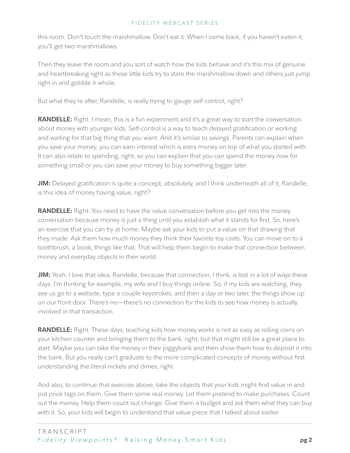this room. Don't touch the marshmallow. Don't eat it. When I come back, if you haven't eaten it, you'll get two marshmallows.

Then they leave the room and you sort of watch how the kids behave and it's this mix of genuine and heartbreaking right as these little kids try to stare the marshmallow down and others just jump right in and gobble it whole.

But what they're after, Randelle, is really trying to gauge self-control, right?

**RANDELLE:** Right. I mean, this is a fun experiment and it's a great way to start the conversation about money with younger kids. Self-control is a way to teach delayed gratification or working and waiting for that big thing that you want. And it's similar to savings. Parents can explain when you save your money, you can earn interest which is extra money on top of what you started with. It can also relate to spending, right, so you can explain that you can spend the money now for something small or you can save your money to buy something bigger later.

**JIM:** Delayed gratification is quite a concept, absolutely, and I think underneath all of it, Randelle, is this idea of money having value, right?

**RANDELLE:** Right. You need to have the value conversation before you get into the money conversation because money is just a thing until you establish what it stands for first. So, here's an exercise that you can try at home. Maybe ask your kids to put a value on that drawing that they made. Ask them how much money they think their favorite toy costs. You can move on to a toothbrush, a book, things like that. That will help them begin to make that connection between money and everyday objects in their world.

**JIM:** Yeah. I love that idea, Randelle, because that connection, I think, is lost in a lot of ways these days. I'm thinking for example, my wife and I buy things online. So, if my kids are watching, they see us go to a website, type a couple keystrokes, and then a day or two later, the things show up on our front door. There's no—there's no connection for the kids to see how money is actually involved in that transaction.

**RANDELLE:** Right. These days, teaching kids how money works is not as easy as rolling coins on your kitchen counter and bringing them to the bank, right, but that might still be a great place to start. Maybe you can take the money in their piggybank and then show them how to deposit it into the bank. But you really can't graduate to the more complicated concepts of money without first understanding the literal nickels and dimes, right.

And also, to continue that exercise above, take the objects that your kids might find value in and put price tags on them. Give them some real money. Let them pretend to make purchases. Count out the money. Help them count out change. Give them a budget and ask them what they can buy with it. So, your kids will begin to understand that value piece that I talked about earlier.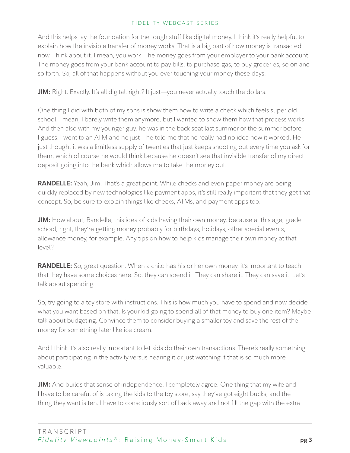And this helps lay the foundation for the tough stuff like digital money. I think it's really helpful to explain how the invisible transfer of money works. That is a big part of how money is transacted now. Think about it. I mean, you work. The money goes from your employer to your bank account. The money goes from your bank account to pay bills, to purchase gas, to buy groceries, so on and so forth. So, all of that happens without you ever touching your money these days.

**JIM:** Right. Exactly. It's all digital, right? It just—you never actually touch the dollars.

One thing I did with both of my sons is show them how to write a check which feels super old school. I mean, I barely write them anymore, but I wanted to show them how that process works. And then also with my younger guy, he was in the back seat last summer or the summer before I guess. I went to an ATM and he just—he told me that he really had no idea how it worked. He just thought it was a limitless supply of twenties that just keeps shooting out every time you ask for them, which of course he would think because he doesn't see that invisible transfer of my direct deposit going into the bank which allows me to take the money out.

**RANDELLE:** Yeah, Jim. That's a great point. While checks and even paper money are being quickly replaced by new technologies like payment apps, it's still really important that they get that concept. So, be sure to explain things like checks, ATMs, and payment apps too.

**JIM:** How about, Randelle, this idea of kids having their own money, because at this age, grade school, right, they're getting money probably for birthdays, holidays, other special events, allowance money, for example. Any tips on how to help kids manage their own money at that level?

**RANDELLE:** So, great question. When a child has his or her own money, it's important to teach that they have some choices here. So, they can spend it. They can share it. They can save it. Let's talk about spending.

So, try going to a toy store with instructions. This is how much you have to spend and now decide what you want based on that. Is your kid going to spend all of that money to buy one item? Maybe talk about budgeting. Convince them to consider buying a smaller toy and save the rest of the money for something later like ice cream.

And I think it's also really important to let kids do their own transactions. There's really something about participating in the activity versus hearing it or just watching it that is so much more valuable.

**JIM:** And builds that sense of independence. I completely agree. One thing that my wife and I have to be careful of is taking the kids to the toy store, say they've got eight bucks, and the thing they want is ten. I have to consciously sort of back away and not fill the gap with the extra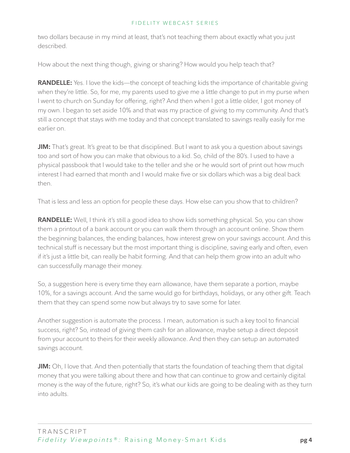two dollars because in my mind at least, that's not teaching them about exactly what you just described.

How about the next thing though, giving or sharing? How would you help teach that?

**RANDELLE:** Yes. I love the kids—the concept of teaching kids the importance of charitable giving when they're little. So, for me, my parents used to give me a little change to put in my purse when I went to church on Sunday for offering, right? And then when I got a little older, I got money of my own. I began to set aside 10% and that was my practice of giving to my community. And that's still a concept that stays with me today and that concept translated to savings really easily for me earlier on.

**JIM:** That's great. It's great to be that disciplined. But I want to ask you a question about savings too and sort of how you can make that obvious to a kid. So, child of the 80's. I used to have a physical passbook that I would take to the teller and she or he would sort of print out how much interest I had earned that month and I would make five or six dollars which was a big deal back then.

That is less and less an option for people these days. How else can you show that to children?

**RANDELLE:** Well, I think it's still a good idea to show kids something physical. So, you can show them a printout of a bank account or you can walk them through an account online. Show them the beginning balances, the ending balances, how interest grew on your savings account. And this technical stuff is necessary but the most important thing is discipline, saving early and often, even if it's just a little bit, can really be habit forming. And that can help them grow into an adult who can successfully manage their money.

So, a suggestion here is every time they earn allowance, have them separate a portion, maybe 10%, for a savings account. And the same would go for birthdays, holidays, or any other gift. Teach them that they can spend some now but always try to save some for later.

Another suggestion is automate the process. I mean, automation is such a key tool to financial success, right? So, instead of giving them cash for an allowance, maybe setup a direct deposit from your account to theirs for their weekly allowance. And then they can setup an automated savings account.

**JIM:** Oh, I love that. And then potentially that starts the foundation of teaching them that digital money that you were talking about there and how that can continue to grow and certainly digital money is the way of the future, right? So, it's what our kids are going to be dealing with as they turn into adults.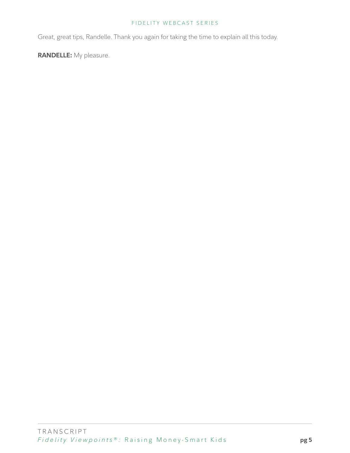Great, great tips, Randelle. Thank you again for taking the time to explain all this today.

**RANDELLE:** My pleasure.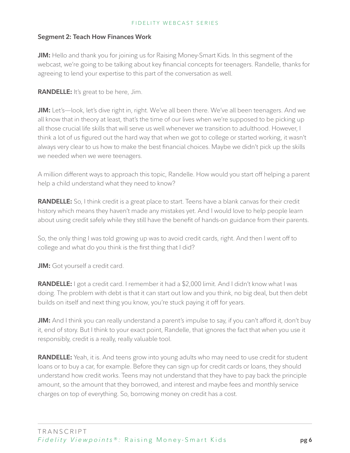# **Segment 2: Teach How Finances Work**

**JIM:** Hello and thank you for joining us for Raising Money-Smart Kids. In this segment of the webcast, we're going to be talking about key financial concepts for teenagers. Randelle, thanks for agreeing to lend your expertise to this part of the conversation as well.

# **RANDELLE:** It's great to be here, Jim.

**JIM:** Let's—look, let's dive right in, right. We've all been there. We've all been teenagers. And we all know that in theory at least, that's the time of our lives when we're supposed to be picking up all those crucial life skills that will serve us well whenever we transition to adulthood. However, I think a lot of us figured out the hard way that when we got to college or started working, it wasn't always very clear to us how to make the best financial choices. Maybe we didn't pick up the skills we needed when we were teenagers.

A million different ways to approach this topic, Randelle. How would you start off helping a parent help a child understand what they need to know?

**RANDELLE:** So, I think credit is a great place to start. Teens have a blank canvas for their credit history which means they haven't made any mistakes yet. And I would love to help people learn about using credit safely while they still have the benefit of hands-on guidance from their parents.

So, the only thing I was told growing up was to avoid credit cards, right. And then I went off to college and what do you think is the first thing that I did?

**JIM:** Got yourself a credit card.

RANDELLE: I got a credit card. I remember it had a \$2,000 limit. And I didn't know what I was doing. The problem with debt is that it can start out low and you think, no big deal, but then debt builds on itself and next thing you know, you're stuck paying it off for years.

**JIM:** And I think you can really understand a parent's impulse to say, if you can't afford it, don't buy it, end of story. But I think to your exact point, Randelle, that ignores the fact that when you use it responsibly, credit is a really, really valuable tool.

**RANDELLE:** Yeah, it is. And teens grow into young adults who may need to use credit for student loans or to buy a car, for example. Before they can sign up for credit cards or loans, they should understand how credit works. Teens may not understand that they have to pay back the principle amount, so the amount that they borrowed, and interest and maybe fees and monthly service charges on top of everything. So, borrowing money on credit has a cost.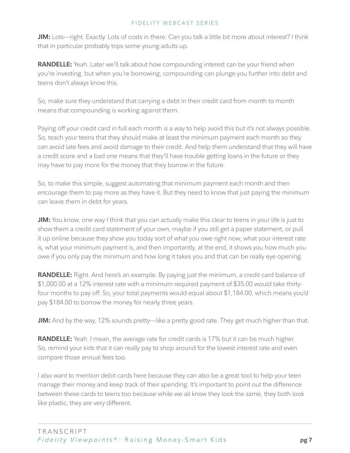**JIM:** Lots—right. Exactly. Lots of costs in there. Can you talk a little bit more about interest? I think that in particular probably trips some young adults up.

**RANDELLE:** Yeah. Later we'll talk about how compounding interest can be your friend when you're investing, but when you're borrowing, compounding can plunge you further into debt and teens don't always know this.

So, make sure they understand that carrying a debt in their credit card from month to month means that compounding is working against them.

Paying off your credit card in full each month is a way to help avoid this but it's not always possible. So, teach your teens that they should make at least the minimum payment each month so they can avoid late fees and avoid damage to their credit. And help them understand that they will have a credit score and a bad one means that they'll have trouble getting loans in the future or they may have to pay more for the money that they borrow in the future.

So, to make this simple, suggest automating that minimum payment each month and then encourage them to pay more as they have it. But they need to know that just paying the minimum can leave them in debt for years.

**JIM:** You know, one way I think that you can actually make this clear to teens in your life is just to show them a credit card statement of your own, maybe if you still get a paper statement, or pull it up online because they show you today sort of what you owe right now, what your interest rate is, what your minimum payment is, and then importantly, at the end, it shows you how much you owe if you only pay the minimum and how long it takes you and that can be really eye opening.

**RANDELLE:** Right. And here's an example. By paying just the minimum, a credit card balance of \$1,000.00 at a 12% interest rate with a minimum required payment of \$35.00 would take thirtyfour months to pay off. So, your total payments would equal about \$1,184.00, which means you'd pay \$184.00 to borrow the money for nearly three years.

**JIM:** And by the way, 12% sounds pretty—like a pretty good rate. They get much higher than that.

**RANDELLE:** Yeah. I mean, the average rate for credit cards is 17% but it can be much higher. So, remind your kids that it can really pay to shop around for the lowest interest rate and even compare those annual fees too.

I also want to mention debit cards here because they can also be a great tool to help your teen manage their money and keep track of their spending. It's important to point out the difference between these cards to teens too because while we all know they look the same, they both look like plastic, they are very different.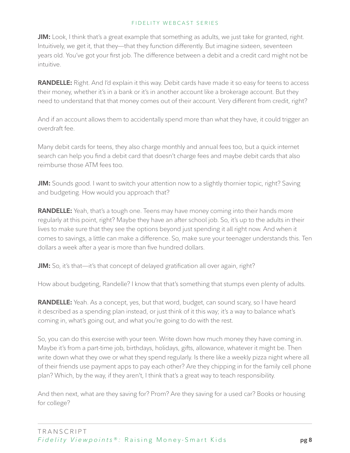**JIM:** Look, I think that's a great example that something as adults, we just take for granted, right. Intuitively, we get it, that they—that they function differently. But imagine sixteen, seventeen years old. You've got your first job. The difference between a debit and a credit card might not be intuitive.

**RANDELLE:** Right. And I'd explain it this way. Debit cards have made it so easy for teens to access their money, whether it's in a bank or it's in another account like a brokerage account. But they need to understand that that money comes out of their account. Very different from credit, right?

And if an account allows them to accidentally spend more than what they have, it could trigger an overdraft fee.

Many debit cards for teens, they also charge monthly and annual fees too, but a quick internet search can help you find a debit card that doesn't charge fees and maybe debit cards that also reimburse those ATM fees too.

**JIM:** Sounds good. I want to switch your attention now to a slightly thornier topic, right? Saving and budgeting. How would you approach that?

**RANDELLE:** Yeah, that's a tough one. Teens may have money coming into their hands more regularly at this point, right? Maybe they have an after school job. So, it's up to the adults in their lives to make sure that they see the options beyond just spending it all right now. And when it comes to savings, a little can make a difference. So, make sure your teenager understands this. Ten dollars a week after a year is more than five hundred dollars.

**JIM:** So, it's that—it's that concept of delayed gratification all over again, right?

How about budgeting, Randelle? I know that that's something that stumps even plenty of adults.

RANDELLE: Yeah. As a concept, yes, but that word, budget, can sound scary, so I have heard it described as a spending plan instead, or just think of it this way; it's a way to balance what's coming in, what's going out, and what you're going to do with the rest.

So, you can do this exercise with your teen. Write down how much money they have coming in. Maybe it's from a part-time job, birthdays, holidays, gifts, allowance, whatever it might be. Then write down what they owe or what they spend regularly. Is there like a weekly pizza night where all of their friends use payment apps to pay each other? Are they chipping in for the family cell phone plan? Which, by the way, if they aren't, I think that's a great way to teach responsibility.

And then next, what are they saving for? Prom? Are they saving for a used car? Books or housing for college?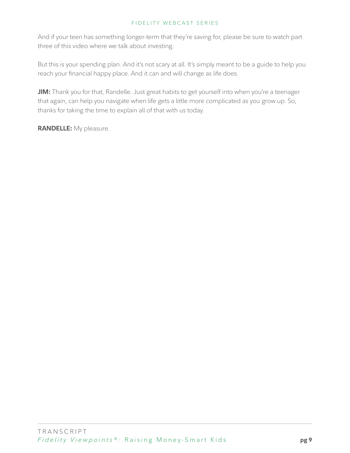And if your teen has something longer-term that they're saving for, please be sure to watch part three of this video where we talk about investing.

But this is your spending plan. And it's not scary at all. It's simply meant to be a guide to help you reach your financial happy place. And it can and will change as life does.

**JIM:** Thank you for that, Randelle. Just great habits to get yourself into when you're a teenager that again, can help you navigate when life gets a little more complicated as you grow up. So, thanks for taking the time to explain all of that with us today.

**RANDELLE:** My pleasure.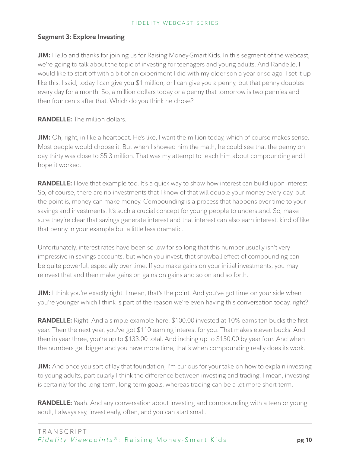# **Segment 3: Explore Investing**

**JIM:** Hello and thanks for joining us for Raising Money-Smart Kids. In this segment of the webcast, we're going to talk about the topic of investing for teenagers and young adults. And Randelle, I would like to start off with a bit of an experiment I did with my older son a year or so ago. I set it up like this. I said, today I can give you \$1 million, or I can give you a penny, but that penny doubles every day for a month. So, a million dollars today or a penny that tomorrow is two pennies and then four cents after that. Which do you think he chose?

**RANDELLE:** The million dollars.

**JIM:** Oh, right, in like a heartbeat. He's like, I want the million today, which of course makes sense. Most people would choose it. But when I showed him the math, he could see that the penny on day thirty was close to \$5.3 million. That was my attempt to teach him about compounding and I hope it worked.

**RANDELLE:** I love that example too. It's a quick way to show how interest can build upon interest. So, of course, there are no investments that I know of that will double your money every day, but the point is, money can make money. Compounding is a process that happens over time to your savings and investments. It's such a crucial concept for young people to understand. So, make sure they're clear that savings generate interest and that interest can also earn interest, kind of like that penny in your example but a little less dramatic.

Unfortunately, interest rates have been so low for so long that this number usually isn't very impressive in savings accounts, but when you invest, that snowball effect of compounding can be quite powerful, especially over time. If you make gains on your initial investments, you may reinvest that and then make gains on gains on gains and so on and so forth.

**JIM:** I think you're exactly right. I mean, that's the point. And you've got time on your side when you're younger which I think is part of the reason we're even having this conversation today, right?

**RANDELLE:** Right. And a simple example here. \$100.00 invested at 10% earns ten bucks the first year. Then the next year, you've got \$110 earning interest for you. That makes eleven bucks. And then in year three, you're up to \$133.00 total. And inching up to \$150.00 by year four. And when the numbers get bigger and you have more time, that's when compounding really does its work.

**JIM:** And once you sort of lay that foundation, I'm curious for your take on how to explain investing to young adults, particularly I think the difference between investing and trading. I mean, investing is certainly for the long-term, long-term goals, whereas trading can be a lot more short-term.

**RANDELLE:** Yeah. And any conversation about investing and compounding with a teen or young adult, I always say, invest early, often, and you can start small.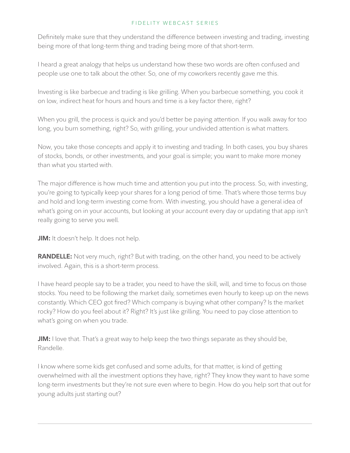Definitely make sure that they understand the difference between investing and trading, investing being more of that long-term thing and trading being more of that short-term.

I heard a great analogy that helps us understand how these two words are often confused and people use one to talk about the other. So, one of my coworkers recently gave me this.

Investing is like barbecue and trading is like grilling. When you barbecue something, you cook it on low, indirect heat for hours and hours and time is a key factor there, right?

When you grill, the process is quick and you'd better be paying attention. If you walk away for too long, you burn something, right? So, with grilling, your undivided attention is what matters.

Now, you take those concepts and apply it to investing and trading. In both cases, you buy shares of stocks, bonds, or other investments, and your goal is simple; you want to make more money than what you started with.

The major difference is how much time and attention you put into the process. So, with investing, you're going to typically keep your shares for a long period of time. That's where those terms buy and hold and long-term investing come from. With investing, you should have a general idea of what's going on in your accounts, but looking at your account every day or updating that app isn't really going to serve you well.

**JIM:** It doesn't help. It does not help.

**RANDELLE:** Not very much, right? But with trading, on the other hand, you need to be actively involved. Again, this is a short-term process.

I have heard people say to be a trader, you need to have the skill, will, and time to focus on those stocks. You need to be following the market daily, sometimes even hourly to keep up on the news constantly. Which CEO got fired? Which company is buying what other company? Is the market rocky? How do you feel about it? Right? It's just like grilling. You need to pay close attention to what's going on when you trade.

**JIM:** I love that. That's a great way to help keep the two things separate as they should be, Randelle.

I know where some kids get confused and some adults, for that matter, is kind of getting overwhelmed with all the investment options they have, right? They know they want to have some long-term investments but they're not sure even where to begin. How do you help sort that out for young adults just starting out?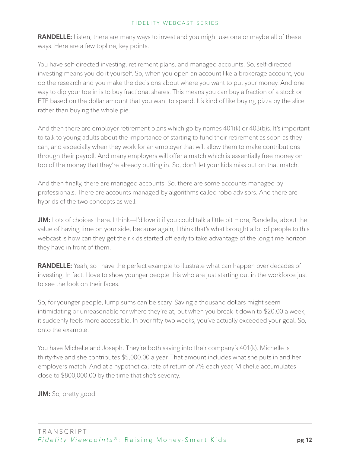**RANDELLE:** Listen, there are many ways to invest and you might use one or maybe all of these ways. Here are a few topline, key points.

You have self-directed investing, retirement plans, and managed accounts. So, self-directed investing means you do it yourself. So, when you open an account like a brokerage account, you do the research and you make the decisions about where you want to put your money. And one way to dip your toe in is to buy fractional shares. This means you can buy a fraction of a stock or ETF based on the dollar amount that you want to spend. It's kind of like buying pizza by the slice rather than buying the whole pie.

And then there are employer retirement plans which go by names 401(k) or 403(b)s. It's important to talk to young adults about the importance of starting to fund their retirement as soon as they can, and especially when they work for an employer that will allow them to make contributions through their payroll. And many employers will offer a match which is essentially free money on top of the money that they're already putting in. So, don't let your kids miss out on that match.

And then finally, there are managed accounts. So, there are some accounts managed by professionals. There are accounts managed by algorithms called robo advisors. And there are hybrids of the two concepts as well.

**JIM:** Lots of choices there. I think—I'd love it if you could talk a little bit more, Randelle, about the value of having time on your side, because again, I think that's what brought a lot of people to this webcast is how can they get their kids started off early to take advantage of the long time horizon they have in front of them.

**RANDELLE:** Yeah, so I have the perfect example to illustrate what can happen over decades of investing. In fact, I love to show younger people this who are just starting out in the workforce just to see the look on their faces.

So, for younger people, lump sums can be scary. Saving a thousand dollars might seem intimidating or unreasonable for where they're at, but when you break it down to \$20.00 a week, it suddenly feels more accessible. In over fifty-two weeks, you've actually exceeded your goal. So, onto the example.

You have Michelle and Joseph. They're both saving into their company's 401(k). Michelle is thirty-five and she contributes \$5,000.00 a year. That amount includes what she puts in and her employers match. And at a hypothetical rate of return of 7% each year, Michelle accumulates close to \$800,000.00 by the time that she's seventy.

**JIM:** So, pretty good.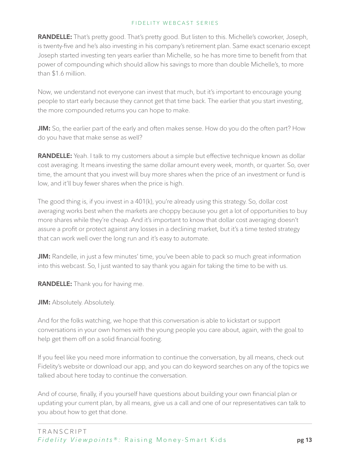**RANDELLE:** That's pretty good. That's pretty good. But listen to this. Michelle's coworker, Joseph, is twenty-five and he's also investing in his company's retirement plan. Same exact scenario except Joseph started investing ten years earlier than Michelle, so he has more time to benefit from that power of compounding which should allow his savings to more than double Michelle's, to more than \$1.6 million.

Now, we understand not everyone can invest that much, but it's important to encourage young people to start early because they cannot get that time back. The earlier that you start investing, the more compounded returns you can hope to make.

**JIM:** So, the earlier part of the early and often makes sense. How do you do the often part? How do you have that make sense as well?

**RANDELLE:** Yeah. I talk to my customers about a simple but effective technique known as dollar cost averaging. It means investing the same dollar amount every week, month, or quarter. So, over time, the amount that you invest will buy more shares when the price of an investment or fund is low, and it'll buy fewer shares when the price is high.

The good thing is, if you invest in a 401(k), you're already using this strategy. So, dollar cost averaging works best when the markets are choppy because you get a lot of opportunities to buy more shares while they're cheap. And it's important to know that dollar cost averaging doesn't assure a profit or protect against any losses in a declining market, but it's a time tested strategy that can work well over the long run and it's easy to automate.

**JIM:** Randelle, in just a few minutes' time, you've been able to pack so much great information into this webcast. So, I just wanted to say thank you again for taking the time to be with us.

**RANDELLE:** Thank you for having me.

**JIM:** Absolutely. Absolutely.

And for the folks watching, we hope that this conversation is able to kickstart or support conversations in your own homes with the young people you care about, again, with the goal to help get them off on a solid financial footing.

If you feel like you need more information to continue the conversation, by all means, check out Fidelity's website or download our app, and you can do keyword searches on any of the topics we talked about here today to continue the conversation.

And of course, finally, if you yourself have questions about building your own financial plan or updating your current plan, by all means, give us a call and one of our representatives can talk to you about how to get that done.